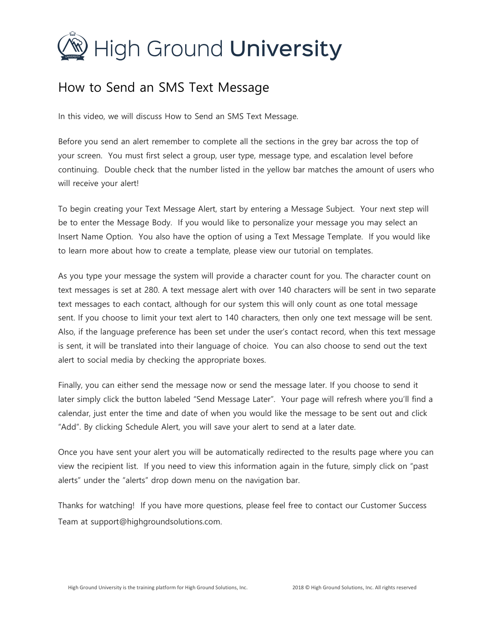## $\mathcal{D}$  High Ground **University**

## How to Send an SMS Text Message

In this video, we will discuss How to Send an SMS Text Message.

Before you send an alert remember to complete all the sections in the grey bar across the top of your screen. You must first select a group, user type, message type, and escalation level before continuing. Double check that the number listed in the yellow bar matches the amount of users who will receive your alert!

To begin creating your Text Message Alert, start by entering a Message Subject. Your next step will be to enter the Message Body. If you would like to personalize your message you may select an Insert Name Option. You also have the option of using a Text Message Template. If you would like to learn more about how to create a template, please view our tutorial on templates.

As you type your message the system will provide a character count for you. The character count on text messages is set at 280. A text message alert with over 140 characters will be sent in two separate text messages to each contact, although for our system this will only count as one total message sent. If you choose to limit your text alert to 140 characters, then only one text message will be sent. Also, if the language preference has been set under the user's contact record, when this text message is sent, it will be translated into their language of choice. You can also choose to send out the text alert to social media by checking the appropriate boxes.

Finally, you can either send the message now or send the message later. If you choose to send it later simply click the button labeled "Send Message Later". Your page will refresh where you'll find a calendar, just enter the time and date of when you would like the message to be sent out and click "Add". By clicking Schedule Alert, you will save your alert to send at a later date.

Once you have sent your alert you will be automatically redirected to the results page where you can view the recipient list. If you need to view this information again in the future, simply click on "past alerts" under the "alerts" drop down menu on the navigation bar.

Thanks for watching! If you have more questions, please feel free to contact our Customer Success Team at support@highgroundsolutions.com.